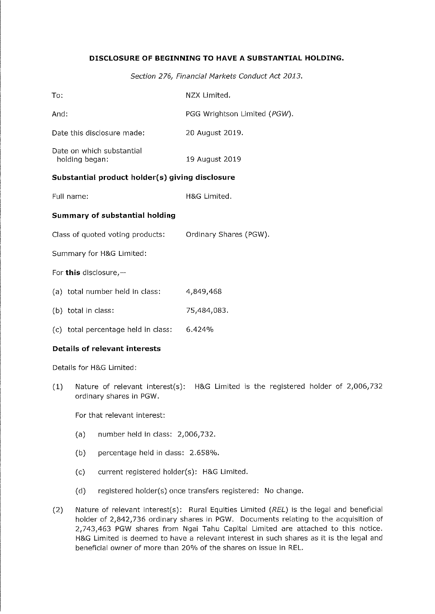### DISCLOSURE OF BEGINNING TO HAVE A SUBSTANTIAL HOLDING.

Section 276, Financial Markets Conduct Act 2013.

| To:                                             | NZX Limited.                 |
|-------------------------------------------------|------------------------------|
| And:                                            | PGG Wrightson Limited (PGW). |
| Date this disclosure made:                      | 20 August 2019.              |
| Date on which substantial<br>holding began:     | 19 August 2019               |
| Substantial product holder(s) giving disclosure |                              |
| Full name:                                      | H&G Limited.                 |
| <b>Summary of substantial holding</b>           |                              |
| Class of quoted voting products:                | Ordinary Shares (PGW).       |
| Summary for H&G Limited:                        |                              |
| For this disclosure, $-$                        |                              |
| (a) total number held in class:                 | 4,849,468                    |
| (b) total in class:                             | 75,484,083.                  |

(c) total percentage held in class:  $6.424\%$ 

#### Details of relevant interests

Details for H&G Limited:

(1) Nature of relevant interest(s): H&G Limited is the registered holder of 2,006,732 ordinary shares in PGW.

For that relevant interest:

- (a) number held in class: 2,006,732.
- (b) percentage held in class: 2.658%.
- (c) current registered ho!der(s): H&G Limited.
- (d) registered holder(s) once transfers registered: No change.
- (2) Nature of relevant interest(s): Rural Equities Limited  $(REL)$  is the legal and beneficial holder of 2,842,736 ordinary shares in PGW. Documents relating to the acquisition of 2/743,463 PGW shares from Ngai Tahu Capital Limited are attached to this notice. H&G Limited is deemed to have a relevant interest in such shares as it is the legal and beneficial owner of more than 20% of the shares on issue in REL.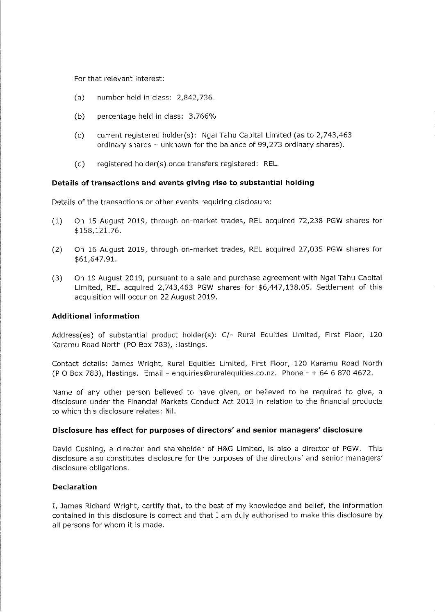For that relevant interest:

- (a) number held in class: 2/842,736.
- (b) percentage held in class: 3.766%
- (c) current registered holder(s): Ngai Tahu Capifcai Limited (as to 2,743/463 ordinary shares - unknown for the balance of 99,273 ordinary shares).
- (d) registered holder(s) once transfers registered: REL.

#### Details of transactions and events giving rise to substantial holding

Details of the transactions or other events requiring disclosure:

- (1) On 15 August 2019, through on-market trades, REL acquired 72,238 PGW shares for \$158/121.76.
- (2) On 16 August 2019, through on-market trades, REL acquired 27,035 PGW shares for \$61,647.91.
- (3) On 19 August 2019, pursuant to a sale and purchase agreement with Ngas Tahu Capital Limited, REL acquired 2/743/463 PGW shares for \$6,447/138.05. Settlement of this acquisition wili occur on 22 August 2019.

### Additional information

Address(es) of substantial product holder(s): C/- Rural Equities Limited, First Floor, 120 Karamu Road North (PO Box 783), Hastings.

Contact details: James Wright, Rural Equities Limited, First Floor, 120 Karamu Road North (P O Box 783), Hastings. Email - enquiries@ruralequities.co.nz. Phone - + 64 6 870 4672.

Name of any other person believed to have given, or believed to be required to give, a disclosure under the Financial Markets Conduct Act 2013 in relation to the financial products to which this disdosure relates: Nil.

#### Disclosure has effect for purposes of directors' and senior managers' disclosure

David Cushing, a director and shareholder of H&G Limited, is also a director of PGW. This disclosure also constitutes disclosure for the purposes of the directors' and senior managers' disclosure obligations.

#### Declaration

I, James Richard Wright, certify that, to the best of my knowledge and belief, the information contained in this disclosure is correct and that I am duly authorised to make this disclosure by all persons for whom it is made.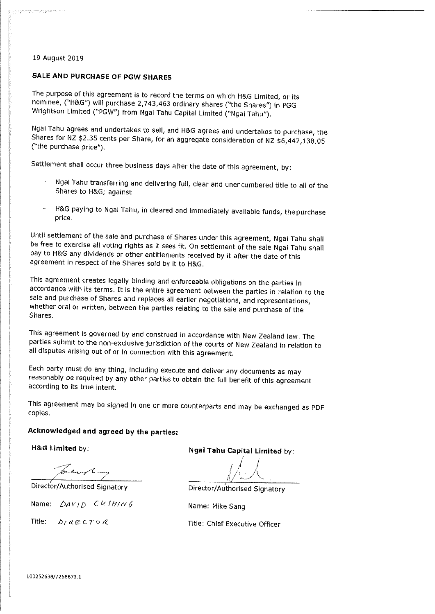#### 19 August 2019 19 August 2019

an<br>Alaman di Kabupaten Kabupaten Ka

## SALE AND PURCHASE OF PGW SHARES

The purpose of this agreement is to record the terms on which H&G Limited, or its nominee, ("H&G") will purchase 2,743,463 ordinary shares ("the Shares") in PGG<br>Mrightson Limited ("DCW") from Next Tebu Gerille ("the Shares") in Wrighfcson Limited ("PGW") from Ngai Tahu Capital Limited ("Ngaj Tahu").

Sharee for  $N^2$   $\pm$  2.5 cents are Chause to sell, and H&G agrees and undertakes to purchase, the  $S_{\rm X}$  is nuclear  $S_{\rm X}$  can be shared per share, for an aggregate consideration of NZ  $\phi$ <sub>0</sub>,447,138.05 ("the purchase price"),

Settlement shall occur three business days after the date of this agreement, by;

- Ngal Tahu transferring and delivering full, clear and unencumbered title to ati of the Shares to H&G; against
- H&G paying to Ngai Tahu, in cleared and immediately available funds, the purchase price.

Until settlement of the sale and purchase of Shares under this agreement, Ngai Tahu shall<br>be free to exercise all voting rights as it sees fit. On settlement of the sale Ngai Tahu shall be free to exercise ali voting rights as it sees fit. On settlement of the sale Ngai Tahu shall  $\rho$  any dividends or other entities received by it after the date of this agreement in respect of the Shares sold by it to H&G.

This agreement creates legally binding and enforceable obligations on the parties in<br>accordance with its terms. It is the entire agreement between the parties in relation to the sale and purchase of Shares and replaces all earlier negotiations, and representations, station and or written, between the sales and regotiations, and representations, where  $\mu$  is the parties relating to the sale and purchase of the sale and purchase of the

This agreement is governed by and construed in accordance with New Zealand (aw. The parties submit to the non-excluslve jurisdiction of the courts of New Zealand in relation to all disputes arising out of or In connection with this agreement.

Each party must do any thing, including execute and deliver any documents as may reasonably be required by any other parties to obtain the full benefit of this agreement according to its true intent.

This agreement may be signed in one or more counterparts and may be exchanged as PDF coples.

# Acknowledged and agreed by the parties:

^^^C. ......y jl

Name:  $\Delta AV/D$  CU SHIN G Name: Mike Sang

Title:

H&G Limited by: Ngai Tahu Capital Limited by:

 $\bigwedge$ -^

Director/Authorised Signatory Director/Authorised Signatory

 $D / a \in C \mathcal{F} \circ \mathcal{A}$  Title: Chief Executive Officer